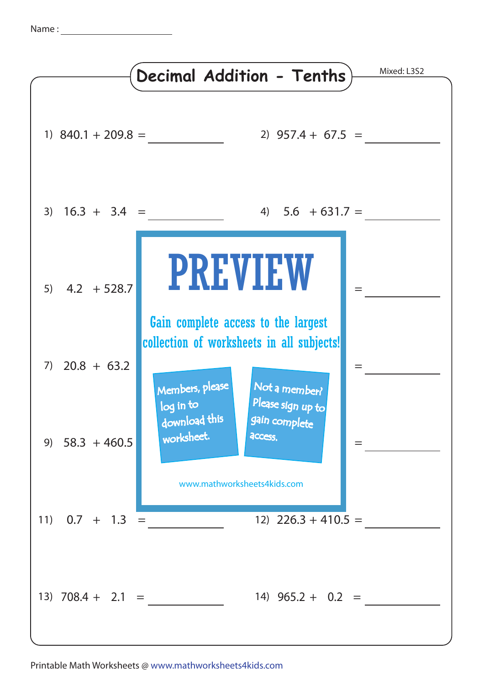